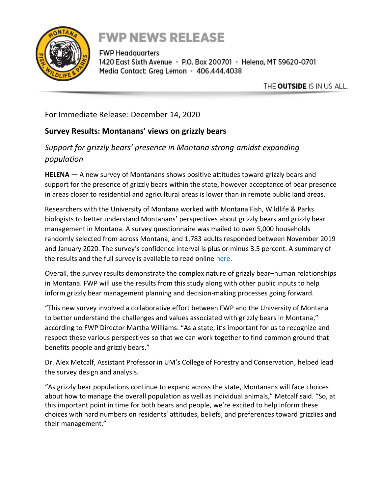

## **FWP NEWS RELEASE**

**FWP Headquarters** 1420 East Sixth Avenue · P.O. Box 200701 · Helena, MT 59620-0701 Media Contact: Greg Lemon • 406.444.4038

THE OUTSIDE IS IN US ALL.

For Immediate Release: December 14, 2020

## **Survey Results: Montanans' views on grizzly bears**

## *Support for grizzly bears' presence in Montana strong amidst expanding population*

**HELENA —** A new survey of Montanans shows positive attitudes toward grizzly bears and support for the presence of grizzly bears within the state, however acceptance of bear presence in areas closer to residential and agricultural areas is lower than in remote public land areas.

Researchers with the University of Montana worked with Montana Fish, Wildlife & Parks biologists to better understand Montanans' perspectives about grizzly bears and grizzly bear management in Montana. A survey questionnaire was mailed to over 5,000 households randomly selected from across Montana, and 1,783 adults responded between November 2019 and January 2020. The survey's confidence interval is plus or minus 3.5 percent. A summary of the results and the full survey is available to read online [here.](https://www.cfc.umt.edu/research/humandimensions/news/human-dimensions-grizzly-bear.php%20%5bcfc.umt.edu%5d)

Overall, the survey results demonstrate the complex nature of grizzly bear–human relationships in Montana. FWP will use the results from this study along with other public inputs to help inform grizzly bear management planning and decision-making processes going forward.

"This new survey involved a collaborative effort between FWP and the University of Montana to better understand the challenges and values associated with grizzly bears in Montana," according to FWP Director Martha Williams. "As a state, it's important for us to recognize and respect these various perspectives so that we can work together to find common ground that benefits people and grizzly bears."

Dr. Alex Metcalf, Assistant Professor in UM's College of Forestry and Conservation, helped lead the survey design and analysis.

"As grizzly bear populations continue to expand across the state, Montanans will face choices about how to manage the overall population as well as individual animals," Metcalf said. "So, at this important point in time for both bears and people, we're excited to help inform these choices with hard numbers on residents' attitudes, beliefs, and preferences toward grizzlies and their management."